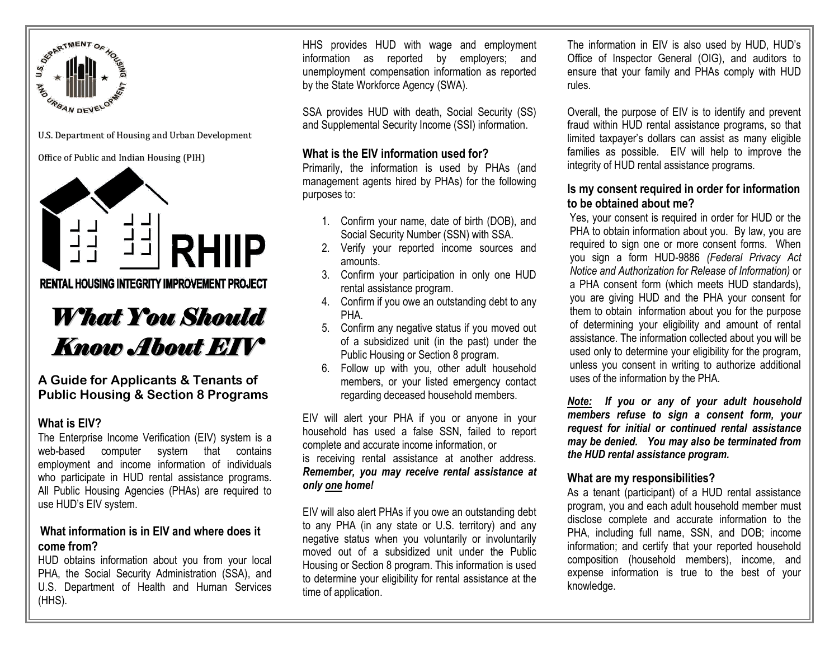

U.S. Department of Housing and Urban Development

#### Office of Public and Indian Housing (PIH)



**RENTAL HOUSING INTEGRITY IMPROVEMENT PROJECT** 

# *What You Should Know About EIV*

**A Guide for Applicants & Tenants of Public Housing & Section 8 Programs**

#### **What is EIV?**

The Enterprise Income Verification (EIV) system is a web-based computer system that contains employment and income information of individuals who participate in HUD rental assistance programs. All Public Housing Agencies (PHAs) are required to use HUD's EIV system.

# **What information is in EIV and where does it come from?**

HUD obtains information about you from your local PHA, the Social Security Administration (SSA), and U.S. Department of Health and Human Services (HHS).

HHS provides HUD with wage and employment information as reported by employers; and unemployment compensation information as reported by the State Workforce Agency (SWA).

SSA provides HUD with death, Social Security (SS) and Supplemental Security Income (SSI) information.

#### **What is the EIV information used for?**

Primarily, the information is used by PHAs (and management agents hired by PHAs) for the following purposes to:

- 1. Confirm your name, date of birth (DOB), and Social Security Number (SSN) with SSA.
- 2. Verify your reported income sources and amounts.
- 3. Confirm your participation in only one HUD rental assistance program.
- 4. Confirm if you owe an outstanding debt to any **PHA**
- 5. Confirm any negative status if you moved out of a subsidized unit (in the past) under the Public Housing or Section 8 program.
- 6. Follow up with you, other adult household members, or your listed emergency contact regarding deceased household members.

EIV will alert your PHA if you or anyone in your household has used a false SSN, failed to report complete and accurate income information, or is receiving rental assistance at another address. *Remember, you may receive rental assistance at only one home!*

EIV will also alert PHAs if you owe an outstanding debt to any PHA (in any state or U.S. territory) and any negative status when you voluntarily or involuntarily moved out of a subsidized unit under the Public Housing or Section 8 program. This information is used to determine your eligibility for rental assistance at the time of application.

The information in EIV is also used by HUD, HUD's Office of Inspector General (OIG), and auditors to ensure that your family and PHAs comply with HUD rules.

Overall, the purpose of EIV is to identify and prevent fraud within HUD rental assistance programs, so that limited taxpayer's dollars can assist as many eligible families as possible. EIV will help to improve the integrity of HUD rental assistance programs.

### **Is my consent required in order for information to be obtained about me?**

Yes, your consent is required in order for HUD or the PHA to obtain information about you. By law, you are required to sign one or more consent forms. When you sign a form HUD-9886 *(Federal Privacy Act Notice and Authorization for Release of Information)* or a PHA consent form (which meets HUD standards), you are giving HUD and the PHA your consent for them to obtain information about you for the purpose of determining your eligibility and amount of rental assistance. The information collected about you will be used only to determine your eligibility for the program, unless you consent in writing to authorize additional uses of the information by the PHA.

*Note: If you or any of your adult household members refuse to sign a consent form, your request for initial or continued rental assistance may be denied. You may also be terminated from the HUD rental assistance program.* 

# **What are my responsibilities?**

As a tenant (participant) of a HUD rental assistance program, you and each adult household member must disclose complete and accurate information to the PHA, including full name, SSN, and DOB; income information; and certify that your reported household composition (household members), income, and expense information is true to the best of your knowledge.